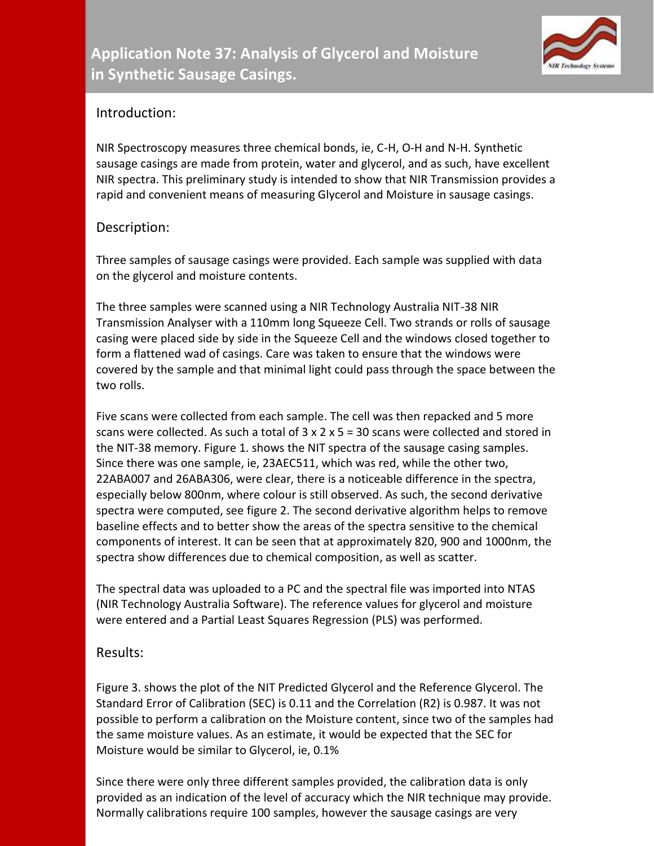

## Introduction:

NIR Spectroscopy measures three chemical bonds, ie, C-H, O-H and N-H. Synthetic sausage casings are made from protein, water and glycerol, and as such, have excellent NIR spectra. This preliminary study is intended to show that NIR Transmission provides a rapid and convenient means of measuring Glycerol and Moisture in sausage casings.

## Description:

Three samples of sausage casings were provided. Each sample was supplied with data on the glycerol and moisture contents.

The three samples were scanned using a NIR Technology Australia NIT-38 NIR Transmission Analyser with a 110mm long Squeeze Cell. Two strands or rolls of sausage casing were placed side by side in the Squeeze Cell and the windows closed together to form a flattened wad of casings. Care was taken to ensure that the windows were covered by the sample and that minimal light could pass through the space between the two rolls.

Five scans were collected from each sample. The cell was then repacked and 5 more scans were collected. As such a total of  $3 \times 2 \times 5 = 30$  scans were collected and stored in the NIT-38 memory. Figure 1. shows the NIT spectra of the sausage casing samples. Since there was one sample, ie, 23AEC511, which was red, while the other two, 22ABA007 and 26ABA306, were clear, there is a noticeable difference in the spectra, especially below 800nm, where colour is still observed. As such, the second derivative spectra were computed, see figure 2. The second derivative algorithm helps to remove baseline effects and to better show the areas of the spectra sensitive to the chemical components of interest. It can be seen that at approximately 820, 900 and 1000nm, the spectra show differences due to chemical composition, as well as scatter.

The spectral data was uploaded to a PC and the spectral file was imported into NTAS (NIR Technology Australia Software). The reference values for glycerol and moisture were entered and a Partial Least Squares Regression (PLS) was performed.

## Results:

Figure 3. shows the plot of the NIT Predicted Glycerol and the Reference Glycerol. The Standard Error of Calibration (SEC) is 0.11 and the Correlation (R2) is 0.987. It was not possible to perform a calibration on the Moisture content, since two of the samples had the same moisture values. As an estimate, it would be expected that the SEC for Moisture would be similar to Glycerol, ie, 0.1%

Since there were only three different samples provided, the calibration data is only provided as an indication of the level of accuracy which the NIR technique may provide. Normally calibrations require 100 samples, however the sausage casings are very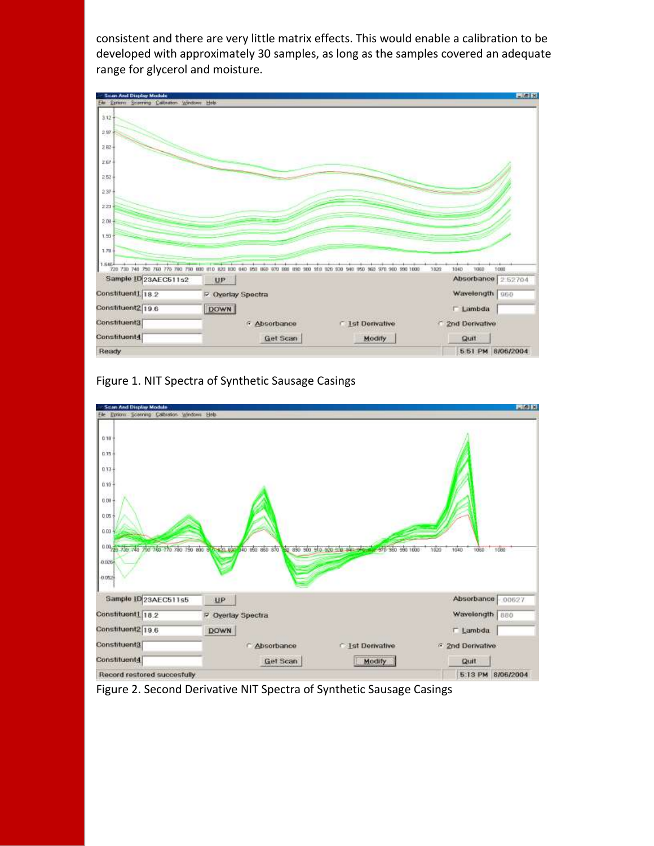consistent and there are very little matrix effects. This would enable a calibration to be developed with approximately 30 samples, as long as the samples covered an adequate range for glycerol and moisture.



Figure 1. NIT Spectra of Synthetic Sausage Casings



Figure 2. Second Derivative NIT Spectra of Synthetic Sausage Casings